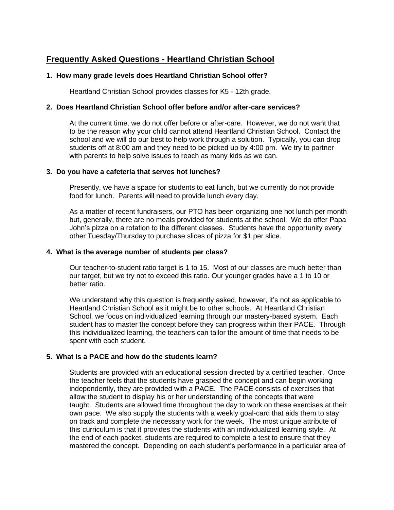# **Frequently Asked Questions - Heartland Christian School**

# **1. How many grade levels does Heartland Christian School offer?**

Heartland Christian School provides classes for K5 - 12th grade.

#### **2. Does Heartland Christian School offer before and/or after-care services?**

At the current time, we do not offer before or after-care. However, we do not want that to be the reason why your child cannot attend Heartland Christian School. Contact the school and we will do our best to help work through a solution. Typically, you can drop students off at 8:00 am and they need to be picked up by 4:00 pm. We try to partner with parents to help solve issues to reach as many kids as we can.

#### **3. Do you have a cafeteria that serves hot lunches?**

Presently, we have a space for students to eat lunch, but we currently do not provide food for lunch. Parents will need to provide lunch every day.

As a matter of recent fundraisers, our PTO has been organizing one hot lunch per month but, generally, there are no meals provided for students at the school. We do offer Papa John's pizza on a rotation to the different classes. Students have the opportunity every other Tuesday/Thursday to purchase slices of pizza for \$1 per slice.

#### **4. What is the average number of students per class?**

Our teacher-to-student ratio target is 1 to 15. Most of our classes are much better than our target, but we try not to exceed this ratio. Our younger grades have a 1 to 10 or better ratio.

We understand why this question is frequently asked, however, it's not as applicable to Heartland Christian School as it might be to other schools. At Heartland Christian School, we focus on individualized learning through our mastery-based system. Each student has to master the concept before they can progress within their PACE. Through this individualized learning, the teachers can tailor the amount of time that needs to be spent with each student.

# **5. What is a PACE and how do the students learn?**

Students are provided with an educational session directed by a certified teacher. Once the teacher feels that the students have grasped the concept and can begin working independently, they are provided with a PACE. The PACE consists of exercises that allow the student to display his or her understanding of the concepts that were taught. Students are allowed time throughout the day to work on these exercises at their own pace. We also supply the students with a weekly goal-card that aids them to stay on track and complete the necessary work for the week. The most unique attribute of this curriculum is that it provides the students with an individualized learning style. At the end of each packet, students are required to complete a test to ensure that they mastered the concept. Depending on each student's performance in a particular area of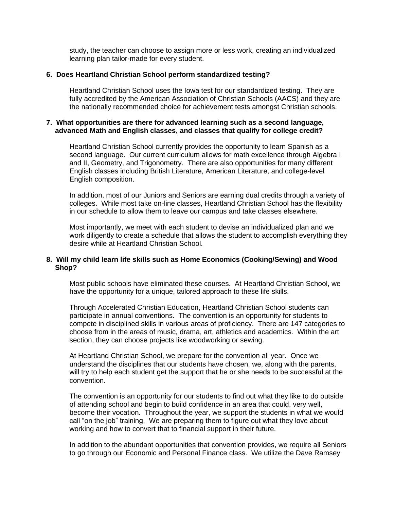study, the teacher can choose to assign more or less work, creating an individualized learning plan tailor-made for every student.

#### **6. Does Heartland Christian School perform standardized testing?**

Heartland Christian School uses the Iowa test for our standardized testing. They are fully accredited by the American Association of Christian Schools (AACS) and they are the nationally recommended choice for achievement tests amongst Christian schools.

### **7. What opportunities are there for advanced learning such as a second language, advanced Math and English classes, and classes that qualify for college credit?**

Heartland Christian School currently provides the opportunity to learn Spanish as a second language. Our current curriculum allows for math excellence through Algebra I and II, Geometry, and Trigonometry. There are also opportunities for many different English classes including British Literature, American Literature, and college-level English composition.

In addition, most of our Juniors and Seniors are earning dual credits through a variety of colleges. While most take on-line classes, Heartland Christian School has the flexibility in our schedule to allow them to leave our campus and take classes elsewhere.

Most importantly, we meet with each student to devise an individualized plan and we work diligently to create a schedule that allows the student to accomplish everything they desire while at Heartland Christian School.

### **8. Will my child learn life skills such as Home Economics (Cooking/Sewing) and Wood Shop?**

Most public schools have eliminated these courses. At Heartland Christian School, we have the opportunity for a unique, tailored approach to these life skills.

Through Accelerated Christian Education, Heartland Christian School students can participate in annual conventions. The convention is an opportunity for students to compete in disciplined skills in various areas of proficiency. There are 147 categories to choose from in the areas of music, drama, art, athletics and academics. Within the art section, they can choose projects like woodworking or sewing.

At Heartland Christian School, we prepare for the convention all year. Once we understand the disciplines that our students have chosen, we, along with the parents, will try to help each student get the support that he or she needs to be successful at the convention.

The convention is an opportunity for our students to find out what they like to do outside of attending school and begin to build confidence in an area that could, very well, become their vocation. Throughout the year, we support the students in what we would call "on the job" training. We are preparing them to figure out what they love about working and how to convert that to financial support in their future.

In addition to the abundant opportunities that convention provides, we require all Seniors to go through our Economic and Personal Finance class. We utilize the Dave Ramsey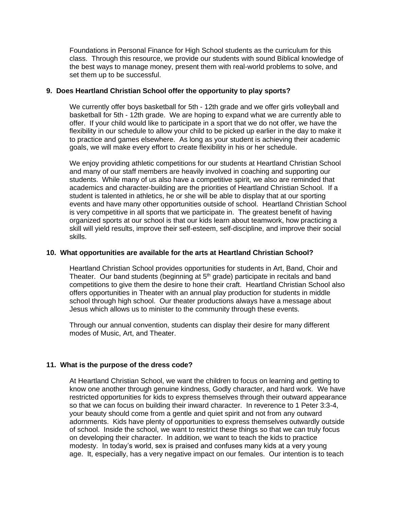Foundations in Personal Finance for High School students as the curriculum for this class. Through this resource, we provide our students with sound Biblical knowledge of the best ways to manage money, present them with real-world problems to solve, and set them up to be successful.

# **9. Does Heartland Christian School offer the opportunity to play sports?**

We currently offer boys basketball for 5th - 12th grade and we offer girls volleyball and basketball for 5th - 12th grade. We are hoping to expand what we are currently able to offer. If your child would like to participate in a sport that we do not offer, we have the flexibility in our schedule to allow your child to be picked up earlier in the day to make it to practice and games elsewhere. As long as your student is achieving their academic goals, we will make every effort to create flexibility in his or her schedule.

We enjoy providing athletic competitions for our students at Heartland Christian School and many of our staff members are heavily involved in coaching and supporting our students. While many of us also have a competitive spirit, we also are reminded that academics and character-building are the priorities of Heartland Christian School. If a student is talented in athletics, he or she will be able to display that at our sporting events and have many other opportunities outside of school. Heartland Christian School is very competitive in all sports that we participate in. The greatest benefit of having organized sports at our school is that our kids learn about teamwork, how practicing a skill will yield results, improve their self-esteem, self-discipline, and improve their social skills.

# **10. What opportunities are available for the arts at Heartland Christian School?**

Heartland Christian School provides opportunities for students in Art, Band, Choir and Theater. Our band students (beginning at  $5<sup>th</sup>$  grade) participate in recitals and band competitions to give them the desire to hone their craft. Heartland Christian School also offers opportunities in Theater with an annual play production for students in middle school through high school. Our theater productions always have a message about Jesus which allows us to minister to the community through these events.

Through our annual convention, students can display their desire for many different modes of Music, Art, and Theater.

# **11. What is the purpose of the dress code?**

At Heartland Christian School, we want the children to focus on learning and getting to know one another through genuine kindness, Godly character, and hard work. We have restricted opportunities for kids to express themselves through their outward appearance so that we can focus on building their inward character. In reverence to 1 Peter 3:3-4, your beauty should come from a gentle and quiet spirit and not from any outward adornments. Kids have plenty of opportunities to express themselves outwardly outside of school. Inside the school, we want to restrict these things so that we can truly focus on developing their character. In addition, we want to teach the kids to practice modesty. In today's world, sex is praised and confuses many kids at a very young age. It, especially, has a very negative impact on our females. Our intention is to teach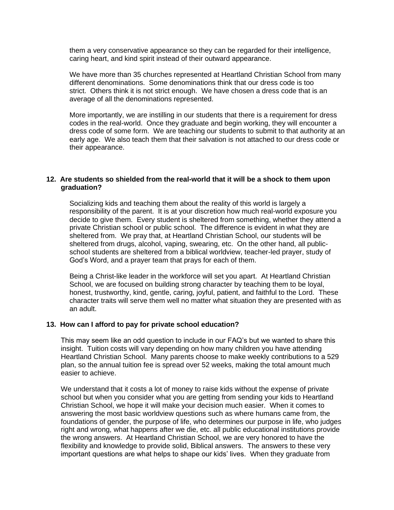them a very conservative appearance so they can be regarded for their intelligence, caring heart, and kind spirit instead of their outward appearance.

We have more than 35 churches represented at Heartland Christian School from many different denominations. Some denominations think that our dress code is too strict. Others think it is not strict enough. We have chosen a dress code that is an average of all the denominations represented.

More importantly, we are instilling in our students that there is a requirement for dress codes in the real-world. Once they graduate and begin working, they will encounter a dress code of some form. We are teaching our students to submit to that authority at an early age. We also teach them that their salvation is not attached to our dress code or their appearance.

### **12. Are students so shielded from the real-world that it will be a shock to them upon graduation?**

Socializing kids and teaching them about the reality of this world is largely a responsibility of the parent. It is at your discretion how much real-world exposure you decide to give them. Every student is sheltered from something, whether they attend a private Christian school or public school. The difference is evident in what they are sheltered from. We pray that, at Heartland Christian School, our students will be sheltered from drugs, alcohol, vaping, swearing, etc. On the other hand, all publicschool students are sheltered from a biblical worldview, teacher-led prayer, study of God's Word, and a prayer team that prays for each of them.

Being a Christ-like leader in the workforce will set you apart. At Heartland Christian School, we are focused on building strong character by teaching them to be loyal, honest, trustworthy, kind, gentle, caring, joyful, patient, and faithful to the Lord. These character traits will serve them well no matter what situation they are presented with as an adult.

#### **13. How can I afford to pay for private school education?**

This may seem like an odd question to include in our FAQ's but we wanted to share this insight. Tuition costs will vary depending on how many children you have attending Heartland Christian School. Many parents choose to make weekly contributions to a 529 plan, so the annual tuition fee is spread over 52 weeks, making the total amount much easier to achieve.

We understand that it costs a lot of money to raise kids without the expense of private school but when you consider what you are getting from sending your kids to Heartland Christian School, we hope it will make your decision much easier. When it comes to answering the most basic worldview questions such as where humans came from, the foundations of gender, the purpose of life, who determines our purpose in life, who judges right and wrong, what happens after we die, etc. all public educational institutions provide the wrong answers. At Heartland Christian School, we are very honored to have the flexibility and knowledge to provide solid, Biblical answers. The answers to these very important questions are what helps to shape our kids' lives. When they graduate from